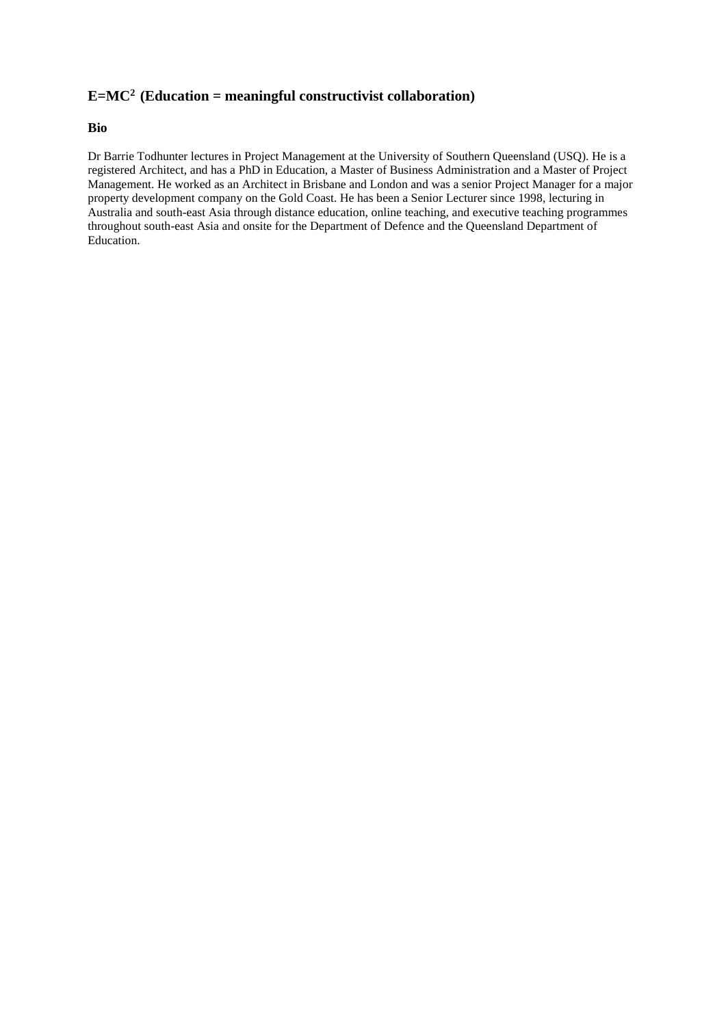# **E=MC<sup>2</sup>(Education = meaningful constructivist collaboration)**

#### **Bio**

Dr Barrie Todhunter lectures in Project Management at the University of Southern Queensland (USQ). He is a registered Architect, and has a PhD in Education, a Master of Business Administration and a Master of Project Management. He worked as an Architect in Brisbane and London and was a senior Project Manager for a major property development company on the Gold Coast. He has been a Senior Lecturer since 1998, lecturing in Australia and south-east Asia through distance education, online teaching, and executive teaching programmes throughout south-east Asia and onsite for the Department of Defence and the Queensland Department of Education.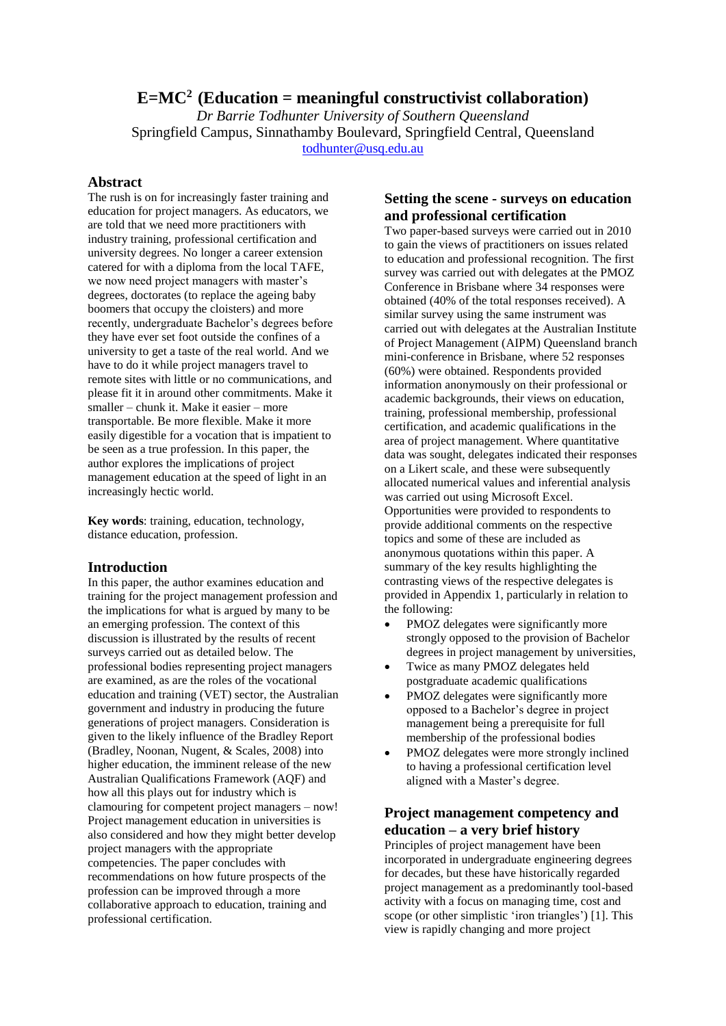# **E=MC<sup>2</sup>(Education = meaningful constructivist collaboration)**

*Dr Barrie Todhunter University of Southern Queensland* Springfield Campus, Sinnathamby Boulevard, Springfield Central, Queensland [todhunter@usq.edu.au](mailto:todhunter@usq.edu.au)

## **Abstract**

The rush is on for increasingly faster training and education for project managers. As educators, we are told that we need more practitioners with industry training, professional certification and university degrees. No longer a career extension catered for with a diploma from the local TAFE, we now need project managers with master's degrees, doctorates (to replace the ageing baby boomers that occupy the cloisters) and more recently, undergraduate Bachelor's degrees before they have ever set foot outside the confines of a university to get a taste of the real world. And we have to do it while project managers travel to remote sites with little or no communications, and please fit it in around other commitments. Make it smaller – chunk it. Make it easier – more transportable. Be more flexible. Make it more easily digestible for a vocation that is impatient to be seen as a true profession. In this paper, the author explores the implications of project management education at the speed of light in an increasingly hectic world.

**Key words**: training, education, technology, distance education, profession.

# **Introduction**

In this paper, the author examines education and training for the project management profession and the implications for what is argued by many to be an emerging profession. The context of this discussion is illustrated by the results of recent surveys carried out as detailed below. The professional bodies representing project managers are examined, as are the roles of the vocational education and training (VET) sector, the Australian government and industry in producing the future generations of project managers. Consideration is given to the likely influence of the Bradley Report [\(Bradley, Noonan, Nugent, & Scales, 2008\)](#page-6-0) into higher education, the imminent release of the new Australian Qualifications Framework (AQF) and how all this plays out for industry which is clamouring for competent project managers – now! Project management education in universities is also considered and how they might better develop project managers with the appropriate competencies. The paper concludes with recommendations on how future prospects of the profession can be improved through a more collaborative approach to education, training and professional certification.

# **Setting the scene - surveys on education and professional certification**

Two paper-based surveys were carried out in 2010 to gain the views of practitioners on issues related to education and professional recognition. The first survey was carried out with delegates at the PMOZ Conference in Brisbane where 34 responses were obtained (40% of the total responses received). A similar survey using the same instrument was carried out with delegates at the Australian Institute of Project Management (AIPM) Queensland branch mini-conference in Brisbane, where 52 responses (60%) were obtained. Respondents provided information anonymously on their professional or academic backgrounds, their views on education, training, professional membership, professional certification, and academic qualifications in the area of project management. Where quantitative data was sought, delegates indicated their responses on a Likert scale, and these were subsequently allocated numerical values and inferential analysis was carried out using Microsoft Excel. Opportunities were provided to respondents to provide additional comments on the respective topics and some of these are included as anonymous quotations within this paper. A summary of the key results highlighting the contrasting views of the respective delegates is provided in Appendix 1, particularly in relation to the following:

- PMOZ delegates were significantly more strongly opposed to the provision of Bachelor degrees in project management by universities,
- Twice as many PMOZ delegates held postgraduate academic qualifications
- PMOZ delegates were significantly more opposed to a Bachelor's degree in project management being a prerequisite for full membership of the professional bodies
- PMOZ delegates were more strongly inclined to having a professional certification level aligned with a Master's degree.

### **Project management competency and education – a very brief history**

Principles of project management have been incorporated in undergraduate engineering degrees for decades, but these have historically regarded project management as a predominantly tool-based activity with a focus on managing time, cost and scope (or other simplistic 'iron triangles') [\[1\]](#page-6-1). This view is rapidly changing and more project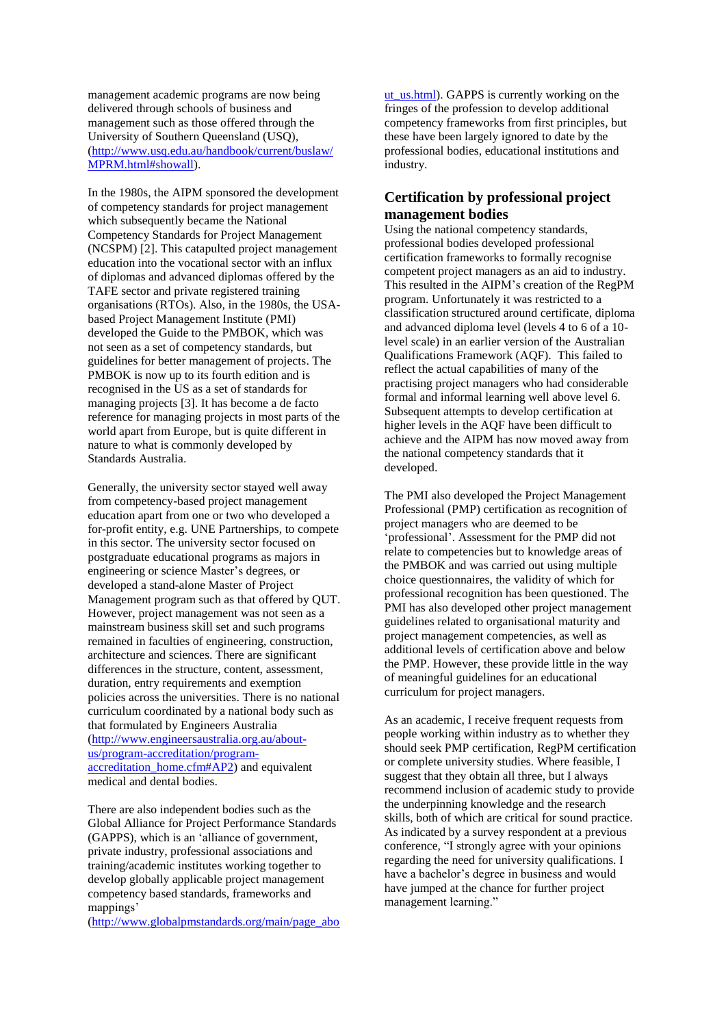management academic programs are now being delivered through schools of business and management such as those offered through the University of Southern Queensland (USQ), [\(http://www.usq.edu.au/handbook/current/buslaw/](http://www.usq.edu.au/handbook/current/buslaw/MPRM.html#showall) [MPRM.html#showall\)](http://www.usq.edu.au/handbook/current/buslaw/MPRM.html#showall).

In the 1980s, the AIPM sponsored the development of competency standards for project management which subsequently became the National Competency Standards for Project Management (NCSPM) [\[2\]](#page-6-2). This catapulted project management education into the vocational sector with an influx of diplomas and advanced diplomas offered by the TAFE sector and private registered training organisations (RTOs). Also, in the 1980s, the USAbased Project Management Institute (PMI) developed the Guide to the PMBOK, which was not seen as a set of competency standards, but guidelines for better management of projects. The PMBOK is now up to its fourth edition and is recognised in the US as a set of standards for managing projects [\[3\]](#page-6-0). It has become a de facto reference for managing projects in most parts of the world apart from Europe, but is quite different in nature to what is commonly developed by Standards Australia.

Generally, the university sector stayed well away from competency-based project management education apart from one or two who developed a for-profit entity, e.g. UNE Partnerships, to compete in this sector. The university sector focused on postgraduate educational programs as majors in engineering or science Master's degrees, or developed a stand-alone Master of Project Management program such as that offered by QUT. However, project management was not seen as a mainstream business skill set and such programs remained in faculties of engineering, construction, architecture and sciences. There are significant differences in the structure, content, assessment, duration, entry requirements and exemption policies across the universities. There is no national curriculum coordinated by a national body such as that formulated by Engineers Australia [\(http://www.engineersaustralia.org.au/about](http://www.engineersaustralia.org.au/about-us/program-accreditation/program-accreditation_home.cfm#AP2)[us/program-accreditation/program](http://www.engineersaustralia.org.au/about-us/program-accreditation/program-accreditation_home.cfm#AP2)[accreditation\\_home.cfm#AP2\)](http://www.engineersaustralia.org.au/about-us/program-accreditation/program-accreditation_home.cfm#AP2) and equivalent medical and dental bodies.

There are also independent bodies such as the Global Alliance for Project Performance Standards (GAPPS), which is an 'alliance of government, private industry, professional associations and training/academic institutes working together to develop globally applicable project management competency based standards, frameworks and mappings'

[\(http://www.globalpmstandards.org/main/page\\_abo](http://www.globalpmstandards.org/main/page_about_us.html)

ut us.html). GAPPS is currently working on the fringes of the profession to develop additional competency frameworks from first principles, but these have been largely ignored to date by the professional bodies, educational institutions and industry.

### **Certification by professional project management bodies**

Using the national competency standards, professional bodies developed professional certification frameworks to formally recognise competent project managers as an aid to industry. This resulted in the AIPM's creation of the RegPM program. Unfortunately it was restricted to a classification structured around certificate, diploma and advanced diploma level (levels 4 to 6 of a 10 level scale) in an earlier version of the Australian Qualifications Framework (AQF). This failed to reflect the actual capabilities of many of the practising project managers who had considerable formal and informal learning well above level 6. Subsequent attempts to develop certification at higher levels in the AQF have been difficult to achieve and the AIPM has now moved away from the national competency standards that it developed.

The PMI also developed the Project Management Professional (PMP) certification as recognition of project managers who are deemed to be 'professional'. Assessment for the PMP did not relate to competencies but to knowledge areas of the PMBOK and was carried out using multiple choice questionnaires, the validity of which for professional recognition has been questioned. The PMI has also developed other project management guidelines related to organisational maturity and project management competencies, as well as additional levels of certification above and below the PMP. However, these provide little in the way of meaningful guidelines for an educational curriculum for project managers.

As an academic, I receive frequent requests from people working within industry as to whether they should seek PMP certification, RegPM certification or complete university studies. Where feasible, I suggest that they obtain all three, but I always recommend inclusion of academic study to provide the underpinning knowledge and the research skills, both of which are critical for sound practice. As indicated by a survey respondent at a previous conference, "I strongly agree with your opinions regarding the need for university qualifications. I have a bachelor's degree in business and would have jumped at the chance for further project management learning."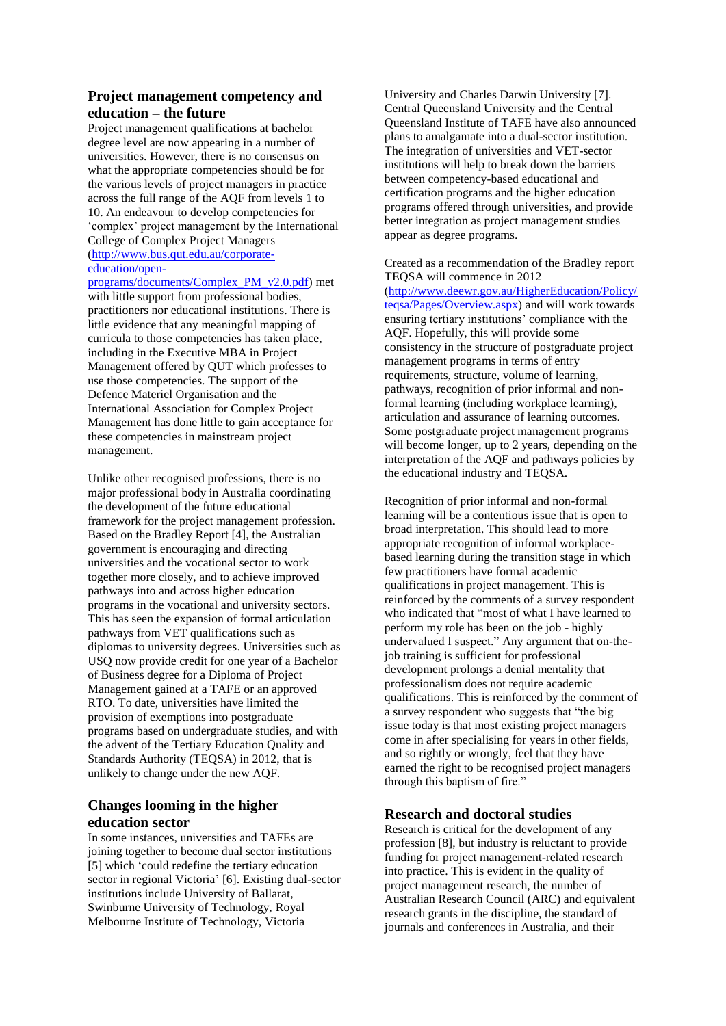# **Project management competency and education – the future**

Project management qualifications at bachelor degree level are now appearing in a number of universities. However, there is no consensus on what the appropriate competencies should be for the various levels of project managers in practice across the full range of the AQF from levels 1 to 10. An endeavour to develop competencies for 'complex' project management by the International College of Complex Project Managers [\(http://www.bus.qut.edu.au/corporate](http://www.bus.qut.edu.au/corporate-education/open-programs/documents/Complex_PM_v2.0.pdf)[education/open-](http://www.bus.qut.edu.au/corporate-education/open-programs/documents/Complex_PM_v2.0.pdf)

[programs/documents/Complex\\_PM\\_v2.0.pdf\)](http://www.bus.qut.edu.au/corporate-education/open-programs/documents/Complex_PM_v2.0.pdf) met with little support from professional bodies, practitioners nor educational institutions. There is little evidence that any meaningful mapping of curricula to those competencies has taken place, including in the Executive MBA in Project Management offered by QUT which professes to use those competencies. The support of the Defence Materiel Organisation and the International Association for Complex Project Management has done little to gain acceptance for these competencies in mainstream project management.

Unlike other recognised professions, there is no major professional body in Australia coordinating the development of the future educational framework for the project management profession. Based on the Bradley Report [\[4\]](#page-6-3), the Australian government is encouraging and directing universities and the vocational sector to work together more closely, and to achieve improved pathways into and across higher education programs in the vocational and university sectors. This has seen the expansion of formal articulation pathways from VET qualifications such as diplomas to university degrees. Universities such as USQ now provide credit for one year of a Bachelor of Business degree for a Diploma of Project Management gained at a TAFE or an approved RTO. To date, universities have limited the provision of exemptions into postgraduate programs based on undergraduate studies, and with the advent of the Tertiary Education Quality and Standards Authority (TEQSA) in 2012, that is unlikely to change under the new AQF.

# **Changes looming in the higher education sector**

In some instances, universities and TAFEs are joining together to become dual sector institutions [\[5\]](#page-6-4) which 'could redefine the tertiary education sector in regional Victoria' [\[6\]](#page-6-5). Existing dual-sector institutions include University of Ballarat, Swinburne University of Technology, Royal Melbourne Institute of Technology, Victoria

University and Charles Darwin University [\[7\]](#page-6-6). Central Queensland University and the Central Queensland Institute of TAFE have also announced plans to amalgamate into a dual-sector institution. The integration of universities and VET-sector institutions will help to break down the barriers between competency-based educational and certification programs and the higher education programs offered through universities, and provide better integration as project management studies appear as degree programs.

Created as a recommendation of the Bradley report TEQSA will commence in 2012 [\(http://www.deewr.gov.au/HigherEducation/Policy/](http://www.deewr.gov.au/HigherEducation/Policy/teqsa/Pages/Overview.aspx) [teqsa/Pages/Overview.aspx\)](http://www.deewr.gov.au/HigherEducation/Policy/teqsa/Pages/Overview.aspx) and will work towards ensuring tertiary institutions' compliance with the AQF. Hopefully, this will provide some consistency in the structure of postgraduate project management programs in terms of entry requirements, structure, volume of learning, pathways, recognition of prior informal and nonformal learning (including workplace learning), articulation and assurance of learning outcomes. Some postgraduate project management programs will become longer, up to 2 years, depending on the interpretation of the AQF and pathways policies by the educational industry and TEQSA.

Recognition of prior informal and non-formal learning will be a contentious issue that is open to broad interpretation. This should lead to more appropriate recognition of informal workplacebased learning during the transition stage in which few practitioners have formal academic qualifications in project management. This is reinforced by the comments of a survey respondent who indicated that "most of what I have learned to perform my role has been on the job - highly undervalued I suspect." Any argument that on-thejob training is sufficient for professional development prolongs a denial mentality that professionalism does not require academic qualifications. This is reinforced by the comment of a survey respondent who suggests that "the big issue today is that most existing project managers come in after specialising for years in other fields, and so rightly or wrongly, feel that they have earned the right to be recognised project managers through this baptism of fire."

### **Research and doctoral studies**

Research is critical for the development of any profession [\[8\]](#page-6-7), but industry is reluctant to provide funding for project management-related research into practice. This is evident in the quality of project management research, the number of Australian Research Council (ARC) and equivalent research grants in the discipline, the standard of journals and conferences in Australia, and their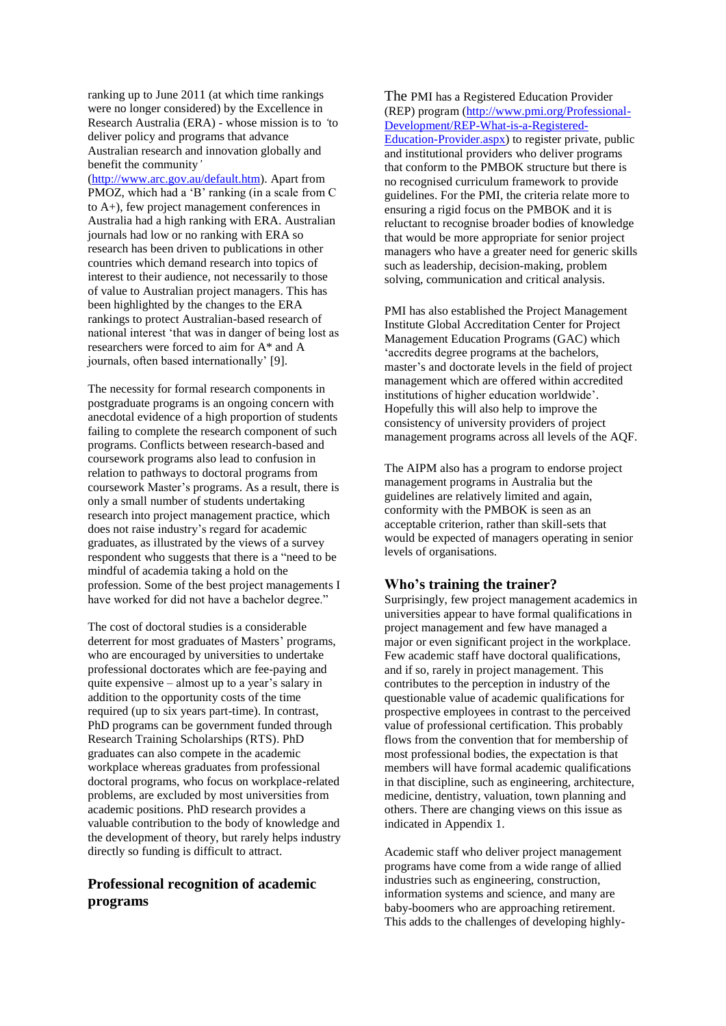ranking up to June 2011 (at which time rankings were no longer considered) by the Excellence in Research Australia (ERA) - whose mission is to *'*to deliver policy and programs that advance Australian research and innovation globally and benefit the community*'*

[\(http://www.arc.gov.au/default.htm\)](http://www.arc.gov.au/default.htm). Apart from PMOZ, which had a 'B' ranking (in a scale from C to A+), few project management conferences in Australia had a high ranking with ERA. Australian journals had low or no ranking with ERA so research has been driven to publications in other countries which demand research into topics of interest to their audience, not necessarily to those of value to Australian project managers. This has been highlighted by the changes to the ERA rankings to protect Australian-based research of national interest 'that was in danger of being lost as researchers were forced to aim for A\* and A journals, often based internationally' [\[9\]](#page-7-0).

The necessity for formal research components in postgraduate programs is an ongoing concern with anecdotal evidence of a high proportion of students failing to complete the research component of such programs. Conflicts between research-based and coursework programs also lead to confusion in relation to pathways to doctoral programs from coursework Master's programs. As a result, there is only a small number of students undertaking research into project management practice, which does not raise industry's regard for academic graduates, as illustrated by the views of a survey respondent who suggests that there is a "need to be mindful of academia taking a hold on the profession. Some of the best project managements I have worked for did not have a bachelor degree."

The cost of doctoral studies is a considerable deterrent for most graduates of Masters' programs, who are encouraged by universities to undertake professional doctorates which are fee-paying and quite expensive – almost up to a year's salary in addition to the opportunity costs of the time required (up to six years part-time). In contrast, PhD programs can be government funded through Research Training Scholarships (RTS). PhD graduates can also compete in the academic workplace whereas graduates from professional doctoral programs, who focus on workplace-related problems, are excluded by most universities from academic positions. PhD research provides a valuable contribution to the body of knowledge and the development of theory, but rarely helps industry directly so funding is difficult to attract.

### **Professional recognition of academic programs**

The PMI has a Registered Education Provider (REP) program [\(http://www.pmi.org/Professional-](http://www.pmi.org/Professional-Development/REP-What-is-a-Registered-Education-Provider.aspx)[Development/REP-What-is-a-Registered-](http://www.pmi.org/Professional-Development/REP-What-is-a-Registered-Education-Provider.aspx)[Education-Provider.aspx\)](http://www.pmi.org/Professional-Development/REP-What-is-a-Registered-Education-Provider.aspx) to register private, public and institutional providers who deliver programs that conform to the PMBOK structure but there is no recognised curriculum framework to provide guidelines. For the PMI, the criteria relate more to ensuring a rigid focus on the PMBOK and it is reluctant to recognise broader bodies of knowledge that would be more appropriate for senior project managers who have a greater need for generic skills such as leadership, decision-making, problem solving, communication and critical analysis.

PMI has also established the Project Management Institute Global Accreditation Center for Project Management Education Programs (GAC) which 'accredits degree programs at the bachelors, master's and doctorate levels in the field of project management which are offered within accredited institutions of higher education worldwide'. Hopefully this will also help to improve the consistency of university providers of project management programs across all levels of the AQF.

The AIPM also has a program to endorse project management programs in Australia but the guidelines are relatively limited and again, conformity with the PMBOK is seen as an acceptable criterion, rather than skill-sets that would be expected of managers operating in senior levels of organisations.

#### **Who's training the trainer?**

Surprisingly, few project management academics in universities appear to have formal qualifications in project management and few have managed a major or even significant project in the workplace. Few academic staff have doctoral qualifications, and if so, rarely in project management. This contributes to the perception in industry of the questionable value of academic qualifications for prospective employees in contrast to the perceived value of professional certification. This probably flows from the convention that for membership of most professional bodies, the expectation is that members will have formal academic qualifications in that discipline, such as engineering, architecture, medicine, dentistry, valuation, town planning and others. There are changing views on this issue as indicated in Appendix 1.

Academic staff who deliver project management programs have come from a wide range of allied industries such as engineering, construction, information systems and science, and many are baby-boomers who are approaching retirement. This adds to the challenges of developing highly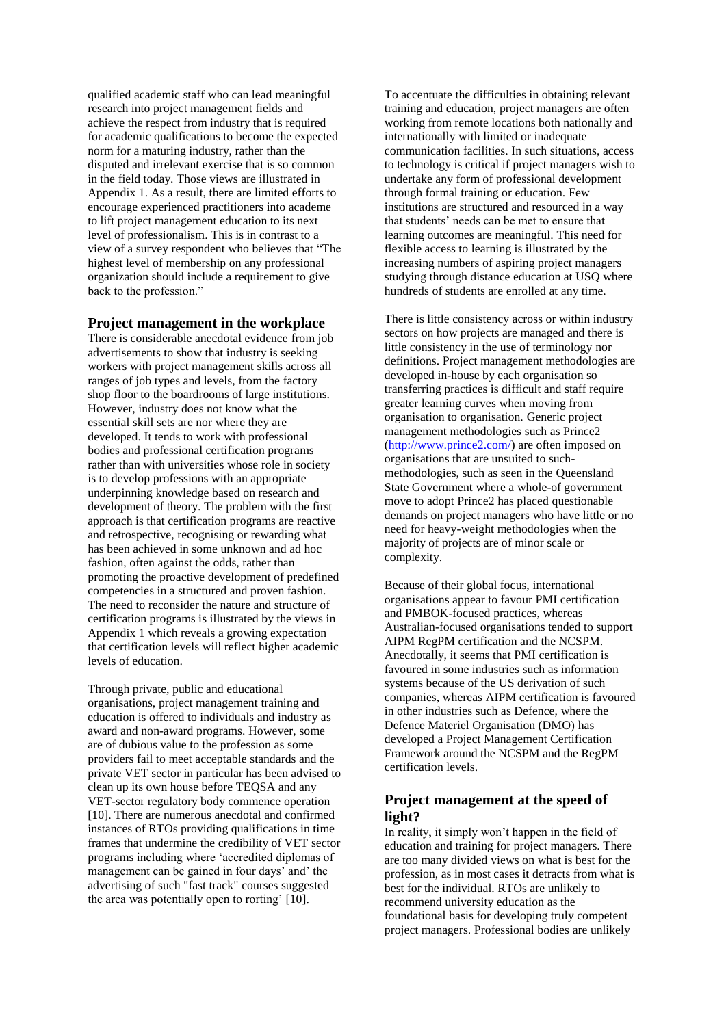qualified academic staff who can lead meaningful research into project management fields and achieve the respect from industry that is required for academic qualifications to become the expected norm for a maturing industry, rather than the disputed and irrelevant exercise that is so common in the field today. Those views are illustrated in Appendix 1. As a result, there are limited efforts to encourage experienced practitioners into academe to lift project management education to its next level of professionalism. This is in contrast to a view of a survey respondent who believes that "The highest level of membership on any professional organization should include a requirement to give back to the profession."

#### **Project management in the workplace**

There is considerable anecdotal evidence from job advertisements to show that industry is seeking workers with project management skills across all ranges of job types and levels, from the factory shop floor to the boardrooms of large institutions. However, industry does not know what the essential skill sets are nor where they are developed. It tends to work with professional bodies and professional certification programs rather than with universities whose role in society is to develop professions with an appropriate underpinning knowledge based on research and development of theory. The problem with the first approach is that certification programs are reactive and retrospective, recognising or rewarding what has been achieved in some unknown and ad hoc fashion, often against the odds, rather than promoting the proactive development of predefined competencies in a structured and proven fashion. The need to reconsider the nature and structure of certification programs is illustrated by the views in Appendix 1 which reveals a growing expectation that certification levels will reflect higher academic levels of education.

Through private, public and educational organisations, project management training and education is offered to individuals and industry as award and non-award programs. However, some are of dubious value to the profession as some providers fail to meet acceptable standards and the private VET sector in particular has been advised to clean up its own house before TEQSA and any VET-sector regulatory body commence operation [\[10\]](#page-7-1). There are numerous anecdotal and confirmed instances of RTOs providing qualifications in time frames that undermine the credibility of VET sector programs including where 'accredited diplomas of management can be gained in four days' and' the advertising of such "fast track" courses suggested the area was potentially open to rorting' [\[10\]](#page-7-1).

To accentuate the difficulties in obtaining relevant training and education, project managers are often working from remote locations both nationally and internationally with limited or inadequate communication facilities. In such situations, access to technology is critical if project managers wish to undertake any form of professional development through formal training or education. Few institutions are structured and resourced in a way that students' needs can be met to ensure that learning outcomes are meaningful. This need for flexible access to learning is illustrated by the increasing numbers of aspiring project managers studying through distance education at USQ where hundreds of students are enrolled at any time.

There is little consistency across or within industry sectors on how projects are managed and there is little consistency in the use of terminology nor definitions. Project management methodologies are developed in-house by each organisation so transferring practices is difficult and staff require greater learning curves when moving from organisation to organisation. Generic project management methodologies such as Prince2 [\(http://www.prince2.com/\)](http://www.prince2.com/) are often imposed on organisations that are unsuited to suchmethodologies, such as seen in the Queensland State Government where a whole-of government move to adopt Prince2 has placed questionable demands on project managers who have little or no need for heavy-weight methodologies when the majority of projects are of minor scale or complexity.

Because of their global focus, international organisations appear to favour PMI certification and PMBOK-focused practices, whereas Australian-focused organisations tended to support AIPM RegPM certification and the NCSPM. Anecdotally, it seems that PMI certification is favoured in some industries such as information systems because of the US derivation of such companies, whereas AIPM certification is favoured in other industries such as Defence, where the Defence Materiel Organisation (DMO) has developed a Project Management Certification Framework around the NCSPM and the RegPM certification levels.

### **Project management at the speed of light?**

In reality, it simply won't happen in the field of education and training for project managers. There are too many divided views on what is best for the profession, as in most cases it detracts from what is best for the individual. RTOs are unlikely to recommend university education as the foundational basis for developing truly competent project managers. Professional bodies are unlikely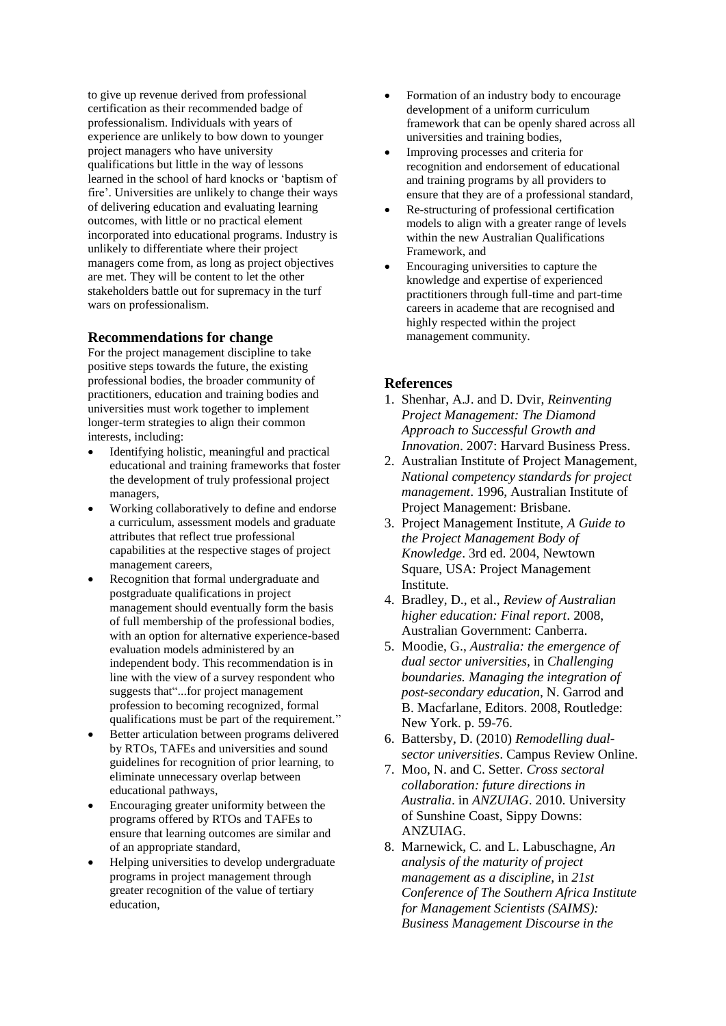to give up revenue derived from professional certification as their recommended badge of professionalism. Individuals with years of experience are unlikely to bow down to younger project managers who have university qualifications but little in the way of lessons learned in the school of hard knocks or 'baptism of fire'. Universities are unlikely to change their ways of delivering education and evaluating learning outcomes, with little or no practical element incorporated into educational programs. Industry is unlikely to differentiate where their project managers come from, as long as project objectives are met. They will be content to let the other stakeholders battle out for supremacy in the turf wars on professionalism.

#### **Recommendations for change**

For the project management discipline to take positive steps towards the future, the existing professional bodies, the broader community of practitioners, education and training bodies and universities must work together to implement longer-term strategies to align their common interests, including:

- Identifying holistic, meaningful and practical educational and training frameworks that foster the development of truly professional project managers,
- Working collaboratively to define and endorse a curriculum, assessment models and graduate attributes that reflect true professional capabilities at the respective stages of project management careers,
- Recognition that formal undergraduate and postgraduate qualifications in project management should eventually form the basis of full membership of the professional bodies, with an option for alternative experience-based evaluation models administered by an independent body. This recommendation is in line with the view of a survey respondent who suggests that"...for project management profession to becoming recognized, formal qualifications must be part of the requirement."
- Better articulation between programs delivered by RTOs, TAFEs and universities and sound guidelines for recognition of prior learning, to eliminate unnecessary overlap between educational pathways,
- Encouraging greater uniformity between the programs offered by RTOs and TAFEs to ensure that learning outcomes are similar and of an appropriate standard,
- Helping universities to develop undergraduate programs in project management through greater recognition of the value of tertiary education,
- Formation of an industry body to encourage development of a uniform curriculum framework that can be openly shared across all universities and training bodies,
- Improving processes and criteria for recognition and endorsement of educational and training programs by all providers to ensure that they are of a professional standard,
- Re-structuring of professional certification models to align with a greater range of levels within the new Australian Qualifications Framework, and
- Encouraging universities to capture the knowledge and expertise of experienced practitioners through full-time and part-time careers in academe that are recognised and highly respected within the project management community.

#### **References**

- <span id="page-6-1"></span>1. Shenhar, A.J. and D. Dvir, *Reinventing Project Management: The Diamond Approach to Successful Growth and Innovation*. 2007: Harvard Business Press.
- <span id="page-6-2"></span>2. Australian Institute of Project Management, *National competency standards for project management*. 1996, Australian Institute of Project Management: Brisbane.
- <span id="page-6-0"></span>3. Project Management Institute, *A Guide to the Project Management Body of Knowledge*. 3rd ed. 2004, Newtown Square, USA: Project Management Institute.
- <span id="page-6-3"></span>4. Bradley, D., et al., *Review of Australian higher education: Final report*. 2008, Australian Government: Canberra.
- <span id="page-6-4"></span>5. Moodie, G., *Australia: the emergence of dual sector universities*, in *Challenging boundaries. Managing the integration of post-secondary education*, N. Garrod and B. Macfarlane, Editors. 2008, Routledge: New York. p. 59-76.
- <span id="page-6-5"></span>6. Battersby, D. (2010) *Remodelling dualsector universities*. Campus Review Online.
- <span id="page-6-6"></span>7. Moo, N. and C. Setter. *Cross sectoral collaboration: future directions in Australia*. in *ANZUIAG*. 2010. University of Sunshine Coast, Sippy Downs: ANZUIAG.
- <span id="page-6-7"></span>8. Marnewick, C. and L. Labuschagne, *An analysis of the maturity of project management as a discipline*, in *21st Conference of The Southern Africa Institute for Management Scientists (SAIMS): Business Management Discourse in the*